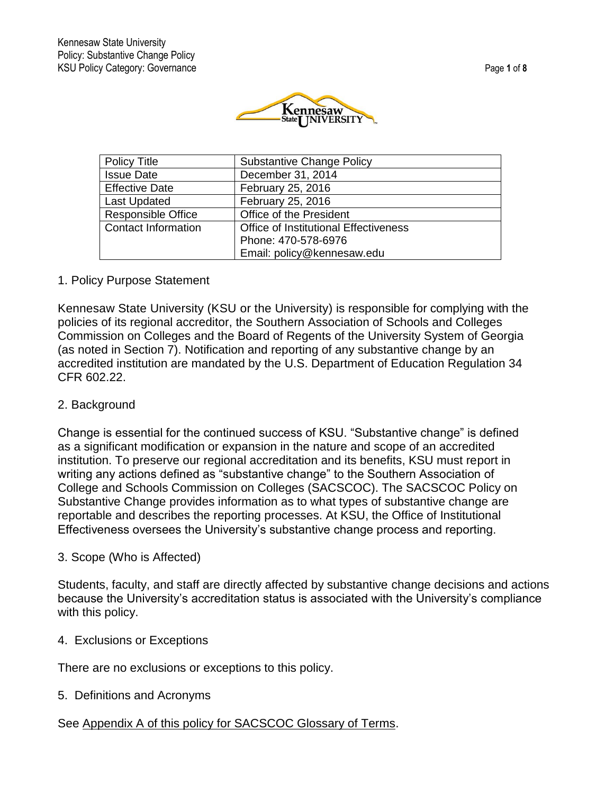



| <b>Policy Title</b>        | <b>Substantive Change Policy</b>             |
|----------------------------|----------------------------------------------|
| <b>Issue Date</b>          | December 31, 2014                            |
| <b>Effective Date</b>      | February 25, 2016                            |
| <b>Last Updated</b>        | February 25, 2016                            |
| <b>Responsible Office</b>  | Office of the President                      |
| <b>Contact Information</b> | <b>Office of Institutional Effectiveness</b> |
|                            | Phone: 470-578-6976                          |
|                            | Email: policy@kennesaw.edu                   |

#### 1. Policy Purpose Statement

Kennesaw State University (KSU or the University) is responsible for complying with the policies of its regional accreditor, the Southern Association of Schools and Colleges Commission on Colleges and the Board of Regents of the University System of Georgia (as noted in Section 7). Notification and reporting of any substantive change by an accredited institution are mandated by the U.S. Department of Education Regulation 34 CFR 602.22.

## 2. Background

Change is essential for the continued success of KSU. "Substantive change" is defined as a significant modification or expansion in the nature and scope of an accredited institution. To preserve our regional accreditation and its benefits, KSU must report in writing any actions defined as "substantive change" to the Southern Association of College and Schools Commission on Colleges (SACSCOC). The SACSCOC Policy on Substantive Change provides information as to what types of substantive change are reportable and describes the reporting processes. At KSU, the Office of Institutional Effectiveness oversees the University's substantive change process and reporting.

#### 3. Scope (Who is Affected)

Students, faculty, and staff are directly affected by substantive change decisions and actions because the University's accreditation status is associated with the University's compliance with this policy.

#### 4. Exclusions or Exceptions

There are no exclusions or exceptions to this policy.

5. Definitions and Acronyms

## See [Appendix A of this policy for SACSCOC Glossary of Terms.](#page-3-0)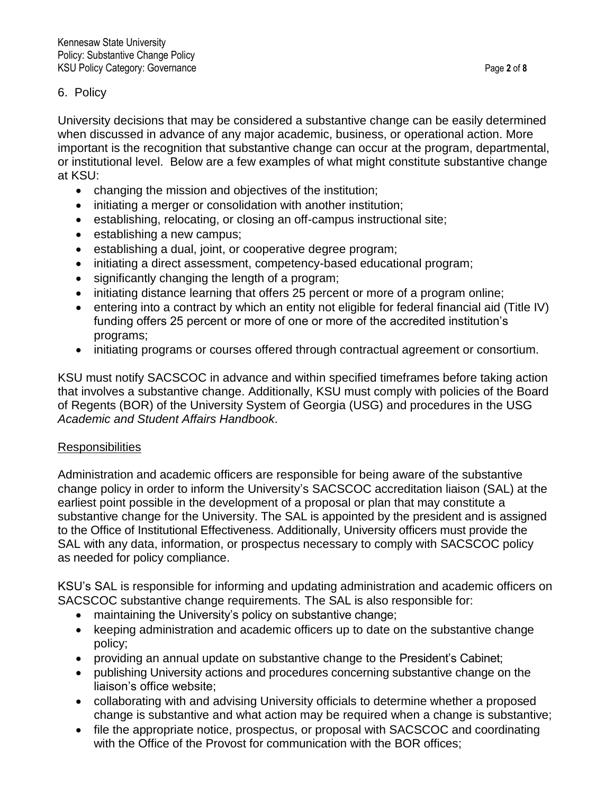# 6. Policy

University decisions that may be considered a substantive change can be easily determined when discussed in advance of any major academic, business, or operational action. More important is the recognition that substantive change can occur at the program, departmental, or institutional level. Below are a few examples of what might constitute substantive change at KSU:

- changing the mission and objectives of the institution;
- initiating a merger or consolidation with another institution;
- establishing, relocating, or closing an off-campus instructional site;
- establishing a new campus;
- establishing a dual, joint, or cooperative degree program;
- initiating a direct assessment, competency-based educational program;
- significantly changing the length of a program;
- initiating distance learning that offers 25 percent or more of a program online;
- entering into a contract by which an entity not eligible for federal financial aid (Title IV) funding offers 25 percent or more of one or more of the accredited institution's programs;
- initiating programs or courses offered through contractual agreement or consortium.

KSU must notify SACSCOC in advance and within specified timeframes before taking action that involves a substantive change. Additionally, KSU must comply with policies of the Board of Regents (BOR) of the University System of Georgia (USG) and procedures in the USG *Academic and Student Affairs Handbook*.

## **Responsibilities**

Administration and academic officers are responsible for being aware of the substantive change policy in order to inform the University's SACSCOC accreditation liaison (SAL) at the earliest point possible in the development of a proposal or plan that may constitute a substantive change for the University. The SAL is appointed by the president and is assigned to the Office of Institutional Effectiveness. Additionally, University officers must provide the SAL with any data, information, or prospectus necessary to comply with SACSCOC policy as needed for policy compliance.

KSU's SAL is responsible for informing and updating administration and academic officers on SACSCOC substantive change requirements. The SAL is also responsible for:

- maintaining the University's policy on substantive change;
- keeping administration and academic officers up to date on the substantive change policy;
- providing an annual update on substantive change to the President's Cabinet;
- publishing University actions and procedures concerning substantive change on the liaison's office website;
- collaborating with and advising University officials to determine whether a proposed change is substantive and what action may be required when a change is substantive;
- file the appropriate notice, prospectus, or proposal with SACSCOC and coordinating with the Office of the Provost for communication with the BOR offices;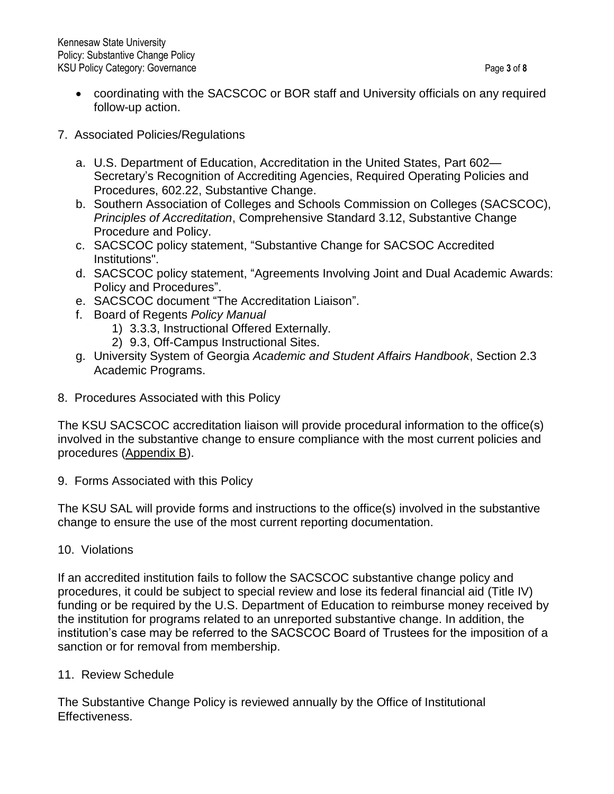- 7. Associated Policies/Regulations
	- a. U.S. Department of Education, Accreditation in the United States, Part 602— Secretary's Recognition of Accrediting Agencies, [Required Operating](http://www2.ed.gov/admins/finaid/accred/accreditation_pg13.html) Policies and [Procedures,](http://www2.ed.gov/admins/finaid/accred/accreditation_pg13.html) 602.22, Substantive Change.
	- b. Southern Association of Colleges and Schools Commission on Colleges (SACSCOC), *[Principles of Accreditation](http://www.sacscoc.org/principles.asp)*, Comprehensive Standard 3.12, Substantive Change Procedure and Policy.
	- c. SACSCOC policy statement, ["Substantive Change for SACSOC Accredited](http://www.sacscoc.org/pdf/081705/SubstantiveChange.pdf)  [Institutions"](http://www.sacscoc.org/pdf/081705/SubstantiveChange.pdf).
	- d. SACSCOC policy statement, ["Agreements Involving Joint and Dual Academic Awards:](http://www.sacscoc.org/pdf/JointDualAwards.pdf)  [Policy and Procedures"](http://www.sacscoc.org/pdf/JointDualAwards.pdf).
	- e. SACSCOC document ["The Accreditation Liaison"](http://www.sacscoc.org/pdf/081705/accreditation%20liaison.pdf).
	- f. Board of Regents *Policy Manual*
		- 1) [3.3.3, Instructional Offered Externally](http://www.usg.edu/policymanual/section3/policy/C338/#p3.3.3_instruction_offered_externally).
		- 2) [9.3, Off-Campus Instructional Sites](http://www.usg.edu/policymanual/section9/policy/C514).
	- g. University System of Georgia *Academic and Student Affairs Handbook*, [Section 2.3](http://www.usg.edu/academic_affairs_handbook/section2/handbook/C731)  [Academic Programs.](http://www.usg.edu/academic_affairs_handbook/section2/handbook/C731)
- 8. Procedures Associated with this Policy

The KSU SACSCOC accreditation liaison will provide procedural information to the office(s) involved in the substantive change to ensure compliance with the most current policies and procedures [\(Appendix B\)](#page-5-0).

9. Forms Associated with this Policy

The KSU SAL will provide forms and instructions to the office(s) involved in the substantive change to ensure the use of the most current reporting documentation.

10. Violations

If an accredited institution fails to follow the SACSCOC substantive change policy and procedures, it could be subject to special review and lose its federal financial aid (Title IV) funding or be required by the U.S. Department of Education to reimburse money received by the institution for programs related to an unreported substantive change. In addition, the institution's case may be referred to the SACSCOC Board of Trustees for the imposition of a sanction or for removal from membership.

11. Review Schedule

The Substantive Change Policy is reviewed annually by the Office of Institutional Effectiveness.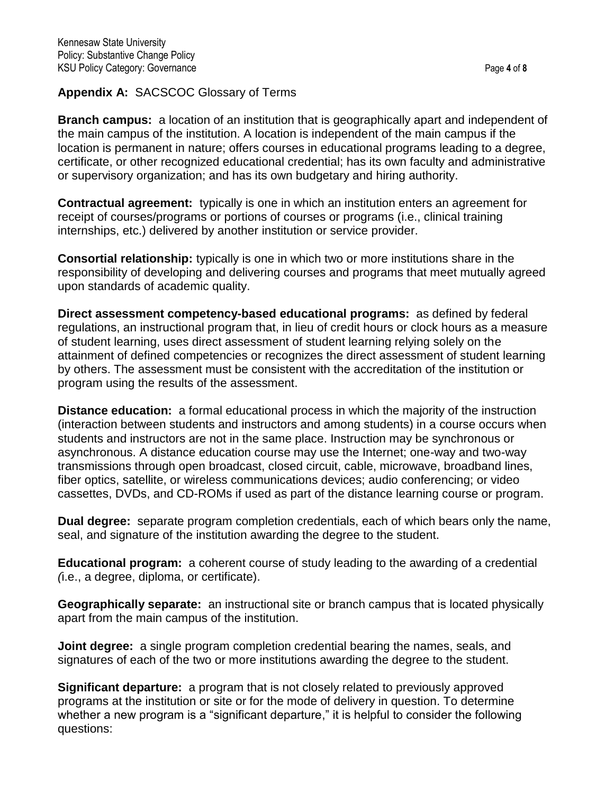# <span id="page-3-0"></span>**Appendix A:** SACSCOC Glossary of Terms

**Branch campus:** a location of an institution that is geographically apart and independent of the main campus of the institution. A location is independent of the main campus if the location is permanent in nature; offers courses in educational programs leading to a degree, certificate, or other recognized educational credential; has its own faculty and administrative or supervisory organization; and has its own budgetary and hiring authority.

**Contractual agreement:** typically is one in which an institution enters an agreement for receipt of courses/programs or portions of courses or programs (i.e., clinical training internships, etc.) delivered by another institution or service provider.

**Consortial relationship:** typically is one in which two or more institutions share in the responsibility of developing and delivering courses and programs that meet mutually agreed upon standards of academic quality.

**Direct assessment competency-based educational programs:** as defined by federal regulations, an instructional program that, in lieu of credit hours or clock hours as a measure of student learning, uses direct assessment of student learning relying solely on the attainment of defined competencies or recognizes the direct assessment of student learning by others. The assessment must be consistent with the accreditation of the institution or program using the results of the assessment.

**Distance education:** a formal educational process in which the majority of the instruction (interaction between students and instructors and among students) in a course occurs when students and instructors are not in the same place. Instruction may be synchronous or asynchronous. A distance education course may use the Internet; one-way and two-way transmissions through open broadcast, closed circuit, cable, microwave, broadband lines, fiber optics, satellite, or wireless communications devices; audio conferencing; or video cassettes, DVDs, and CD-ROMs if used as part of the distance learning course or program.

**Dual degree:** separate program completion credentials, each of which bears only the name, seal, and signature of the institution awarding the degree to the student.

**Educational program:** a coherent course of study leading to the awarding of a credential *(*i.e., a degree, diploma, or certificate).

**Geographically separate:** an instructional site or branch campus that is located physically apart from the main campus of the institution.

**Joint degree:** a single program completion credential bearing the names, seals, and signatures of each of the two or more institutions awarding the degree to the student.

**Significant departure:** a program that is not closely related to previously approved programs at the institution or site or for the mode of delivery in question. To determine whether a new program is a "significant departure," it is helpful to consider the following questions: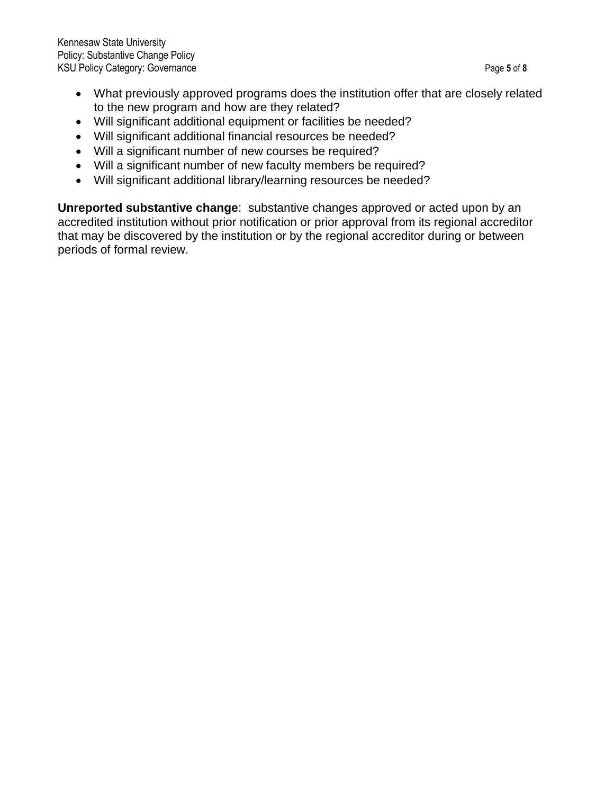- What previously approved programs does the institution offer that are closely related to the new program and how are they related?
- Will significant additional equipment or facilities be needed?
- Will significant additional financial resources be needed?
- Will a significant number of new courses be required?
- Will a significant number of new faculty members be required?
- Will significant additional library/learning resources be needed?

**Unreported substantive change**: substantive changes approved or acted upon by an accredited institution without prior notification or prior approval from its regional accreditor that may be discovered by the institution or by the regional accreditor during or between periods of formal review.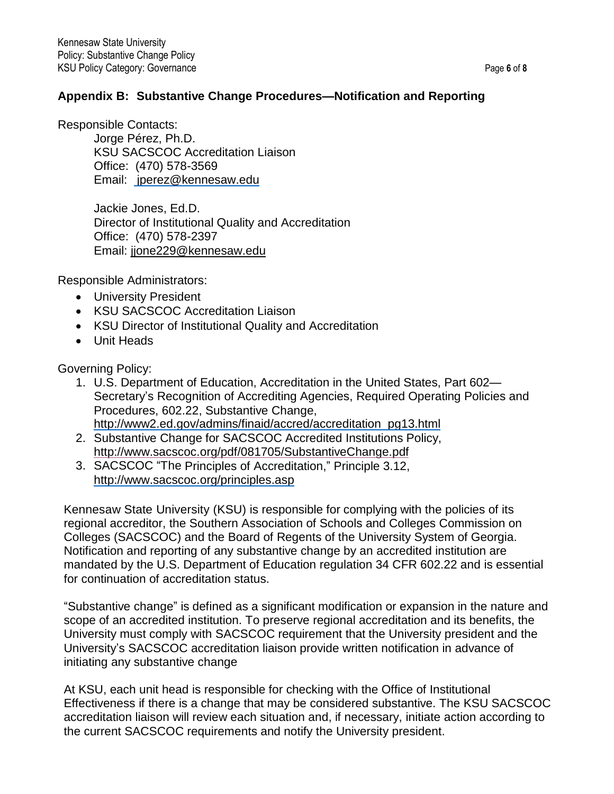# <span id="page-5-0"></span>**Appendix B: Substantive Change Procedures—Notification and Reporting**

Responsible Contacts:

Jorge Pérez, Ph.D. KSU SACSCOC Accreditation Liaison Office: (470) 578-3569 Email: jperez@kennesaw.edu

Jackie Jones, Ed.D. Director of Institutional Quality and Accreditation Office: (470) 578-2397 Email: [jjone229@kennesaw.edu](mailto:jjone229@kennesaw.edu)

Responsible Administrators:

- University President
- KSU SACSCOC Accreditation Liaison
- KSU Director of Institutional Quality and Accreditation
- Unit Heads

Governing Policy:

- 1. U.S. Department of Education, Accreditation in the United States, Part 602— Secretary's Recognition of Accrediting Agencies, Required Operating Policies and Procedures, 602.22, Substantive Change, [http://www2.ed.gov/admins/finaid/accred/accreditation\\_pg13.html](http://www2.ed.gov/admins/finaid/accred/accreditation_pg13.html)
- 2. Substantive Change for SACSCOC Accredited Institutions Policy, <http://www.sacscoc.org/pdf/081705/SubstantiveChange.pdf>
- 3. SACSCOC "The Principles of Accreditation," Principle 3.12, <http://www.sacscoc.org/principles.asp>

Kennesaw State University (KSU) is responsible for complying with the policies of its regional accreditor, the Southern Association of Schools and Colleges Commission on Colleges (SACSCOC) and the Board of Regents of the University System of Georgia. Notification and reporting of any substantive change by an accredited institution are mandated by the U.S. Department of Education regulation 34 CFR 602.22 and is essential for continuation of accreditation status.

"Substantive change" is defined as a significant modification or expansion in the nature and scope of an accredited institution. To preserve regional accreditation and its benefits, the University must comply with SACSCOC requirement that the University president and the University's SACSCOC accreditation liaison provide written notification in advance of initiating any substantive change

At KSU, each unit head is responsible for checking with the Office of Institutional Effectiveness if there is a change that may be considered substantive. The KSU SACSCOC accreditation liaison will review each situation and, if necessary, initiate action according to the current SACSCOC requirements and notify the University president.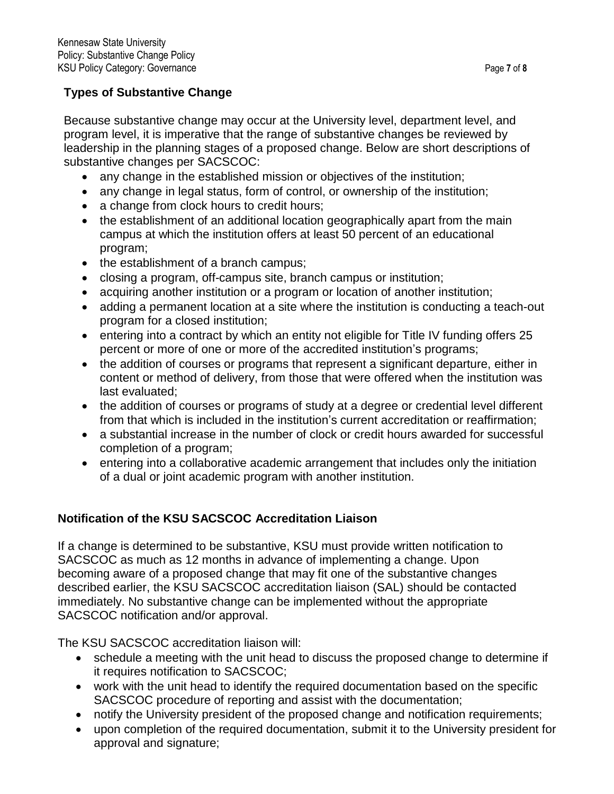# **Types of Substantive Change**

Because substantive change may occur at the University level, department level, and program level, it is imperative that the range of substantive changes be reviewed by leadership in the planning stages of a proposed change. Below are short descriptions of substantive changes per SACSCOC:

- any change in the established mission or objectives of the institution;
- any change in legal status, form of control, or ownership of the institution;
- a change from clock hours to credit hours;
- the establishment of an additional location geographically apart from the main campus at which the institution offers at least 50 percent of an educational program;
- the establishment of a branch campus;
- closing a program, off-campus site, branch campus or institution;
- acquiring another institution or a program or location of another institution;
- adding a permanent location at a site where the institution is conducting a teach-out program for a closed institution;
- entering into a contract by which an entity not eligible for Title IV funding offers 25 percent or more of one or more of the accredited institution's programs;
- the addition of courses or programs that represent a significant departure, either in content or method of delivery, from those that were offered when the institution was last evaluated;
- the addition of courses or programs of study at a degree or credential level different from that which is included in the institution's current accreditation or reaffirmation;
- a substantial increase in the number of clock or credit hours awarded for successful completion of a program;
- entering into a collaborative academic arrangement that includes only the initiation of a dual or joint academic program with another institution.

# **Notification of the KSU SACSCOC Accreditation Liaison**

If a change is determined to be substantive, KSU must provide written notification to SACSCOC as much as 12 months in advance of implementing a change. Upon becoming aware of a proposed change that may fit one of the substantive changes described earlier, the KSU SACSCOC accreditation liaison (SAL) should be contacted immediately. No substantive change can be implemented without the appropriate SACSCOC notification and/or approval.

The KSU SACSCOC accreditation liaison will:

- schedule a meeting with the unit head to discuss the proposed change to determine if it requires notification to SACSCOC;
- work with the unit head to identify the required documentation based on the specific SACSCOC procedure of reporting and assist with the documentation;
- notify the University president of the proposed change and notification requirements;
- upon completion of the required documentation, submit it to the University president for approval and signature;